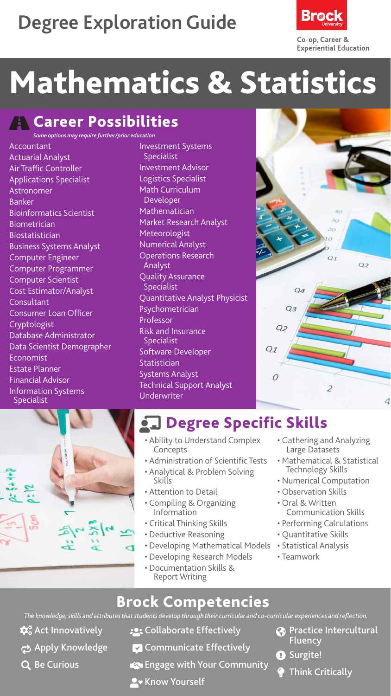## **Degree Exploration Guide**



# Mathematics & Statistics

**A** Career Possibilities

*Some options may require further/prior education*

Accountant Actuarial Analyst Air Traffic Controller Applications Specialist **Astronomer** Banker Bioinformatics Scientist Biometrician Biostatistician Business Systems Analyst Computer Engineer Computer Programmer Computer Scientist Cost Estimator/Analyst **Consultant** Consumer Loan Officer Cryptologist Database Administrator Data Scientist Demographer Economist Estate Planner Financial Advisor Information Systems Specialist

Investment Systems Specialist Investment Advisor Logistics Specialist Math Curriculum Developer Mathematician Market Research Analyst Meteorologist Numerical Analyst Operations Research Analyst Quality Assurance Specialist Quantitative Analyst Physicist Psychometrician Professor Risk and Insurance Specialist Software Developer Statistician Systems Analyst Technical Support Analyst Underwriter





### **Degree Specific Skills**

- Ability to Understand Complex **Concepts**
- Administration of Scientific Tests
- Analytical & Problem Solving Skills
- Attention to Detail
- Compiling & Organizing Information
- Critical Thinking Skills
- Deductive Reasoning
- Developing Mathematical Models
- Developing Research Models
- Documentation Skills & Report Writing
- Gathering and Analyzing Large Datasets
- Mathematical & Statistical Technology Skills
- Numerical Computation
- Observation Skills
- Oral & Written Communication Skills
- Performing Calculations
- Quantitative Skills
- Statistical Analysis
- Teamwork

#### Brock Competencies

*The knowledge, skills and attributes that students develop through their curricular and co-curricular experiences and reflection.*

- $\mathbf{\hat{\alpha}}^{\circ}_{\mathbf{o}}$  Act Innovatively
- **Apply Knowledge**
- Q Be Curious
- **:** Collaborate Effectively
- **Communicate Effectively**
- Engage with Your Community
- **A** Know Yourself
- **Co** Practice Intercultural **Fluency**
- **O** Surgite!
	- Think Critically